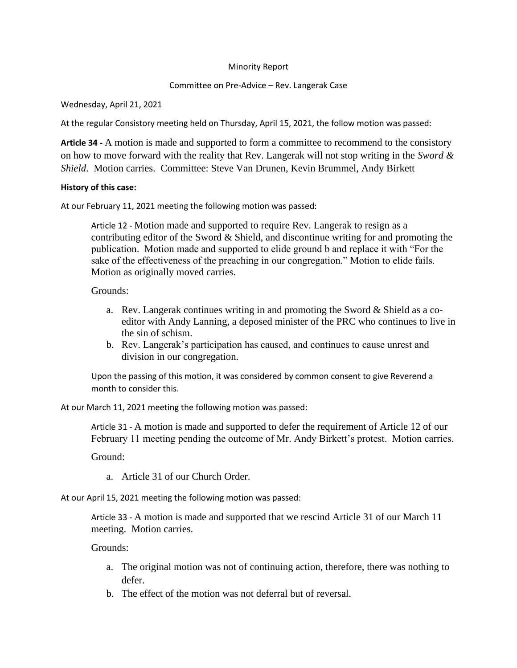## Minority Report

## Committee on Pre-Advice – Rev. Langerak Case

Wednesday, April 21, 2021

At the regular Consistory meeting held on Thursday, April 15, 2021, the follow motion was passed:

**Article 34 -** A motion is made and supported to form a committee to recommend to the consistory on how to move forward with the reality that Rev. Langerak will not stop writing in the *Sword & Shield*. Motion carries. Committee: Steve Van Drunen, Kevin Brummel, Andy Birkett

## **History of this case:**

At our February 11, 2021 meeting the following motion was passed:

Article 12 - Motion made and supported to require Rev. Langerak to resign as a contributing editor of the Sword  $&$  Shield, and discontinue writing for and promoting the publication. Motion made and supported to elide ground b and replace it with "For the sake of the effectiveness of the preaching in our congregation." Motion to elide fails. Motion as originally moved carries.

Grounds:

- a. Rev. Langerak continues writing in and promoting the Sword & Shield as a coeditor with Andy Lanning, a deposed minister of the PRC who continues to live in the sin of schism.
- b. Rev. Langerak's participation has caused, and continues to cause unrest and division in our congregation.

Upon the passing of this motion, it was considered by common consent to give Reverend a month to consider this.

At our March 11, 2021 meeting the following motion was passed:

Article 31 - A motion is made and supported to defer the requirement of Article 12 of our February 11 meeting pending the outcome of Mr. Andy Birkett's protest. Motion carries.

Ground:

a. Article 31 of our Church Order.

At our April 15, 2021 meeting the following motion was passed:

Article 33 - A motion is made and supported that we rescind Article 31 of our March 11 meeting. Motion carries.

Grounds:

- a. The original motion was not of continuing action, therefore, there was nothing to defer.
- b. The effect of the motion was not deferral but of reversal.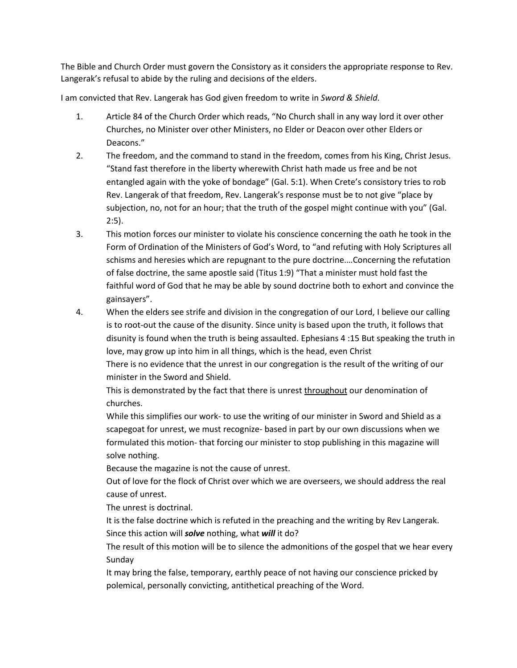The Bible and Church Order must govern the Consistory as it considers the appropriate response to Rev. Langerak's refusal to abide by the ruling and decisions of the elders.

I am convicted that Rev. Langerak has God given freedom to write in *Sword & Shield*.

- 1. Article 84 of the Church Order which reads, "No Church shall in any way lord it over other Churches, no Minister over other Ministers, no Elder or Deacon over other Elders or Deacons."
- 2. The freedom, and the command to stand in the freedom, comes from his King, Christ Jesus. "Stand fast therefore in the liberty wherewith Christ hath made us free and be not entangled again with the yoke of bondage" (Gal. 5:1). When Crete's consistory tries to rob Rev. Langerak of that freedom, Rev. Langerak's response must be to not give "place by subjection, no, not for an hour; that the truth of the gospel might continue with you" (Gal. 2:5).
- 3. This motion forces our minister to violate his conscience concerning the oath he took in the Form of Ordination of the Ministers of God's Word, to "and refuting with Holy Scriptures all schisms and heresies which are repugnant to the pure doctrine.…Concerning the refutation of false doctrine, the same apostle said (Titus 1:9) "That a minister must hold fast the faithful word of God that he may be able by sound doctrine both to exhort and convince the gainsayers".
- 4. When the elders see strife and division in the congregation of our Lord, I believe our calling is to root-out the cause of the disunity. Since unity is based upon the truth, it follows that disunity is found when the truth is being assaulted. Ephesians 4 :15 But speaking the truth in love, may grow up into him in all things, which is the head, even Christ There is no evidence that the unrest in our congregation is the result of the writing of our minister in the Sword and Shield.

This is demonstrated by the fact that there is unrest throughout our denomination of churches.

While this simplifies our work- to use the writing of our minister in Sword and Shield as a scapegoat for unrest, we must recognize- based in part by our own discussions when we formulated this motion- that forcing our minister to stop publishing in this magazine will solve nothing.

Because the magazine is not the cause of unrest.

Out of love for the flock of Christ over which we are overseers, we should address the real cause of unrest.

The unrest is doctrinal.

It is the false doctrine which is refuted in the preaching and the writing by Rev Langerak. Since this action will *solve* nothing, what *will* it do?

The result of this motion will be to silence the admonitions of the gospel that we hear every Sunday

It may bring the false, temporary, earthly peace of not having our conscience pricked by polemical, personally convicting, antithetical preaching of the Word.